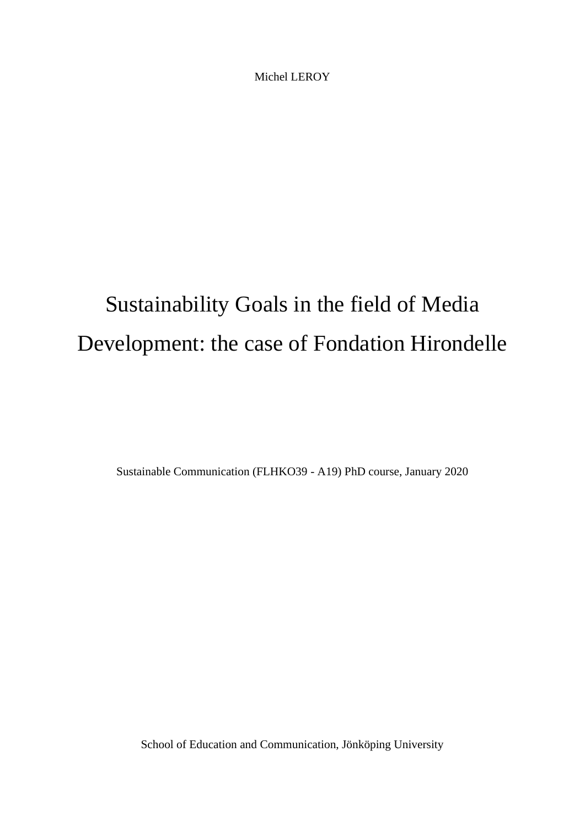Michel LEROY

# Sustainability Goals in the field of Media Development: the case of Fondation Hirondelle

Sustainable Communication (FLHKO39 - A19) PhD course, January 2020

School of Education and Communication, Jönköping University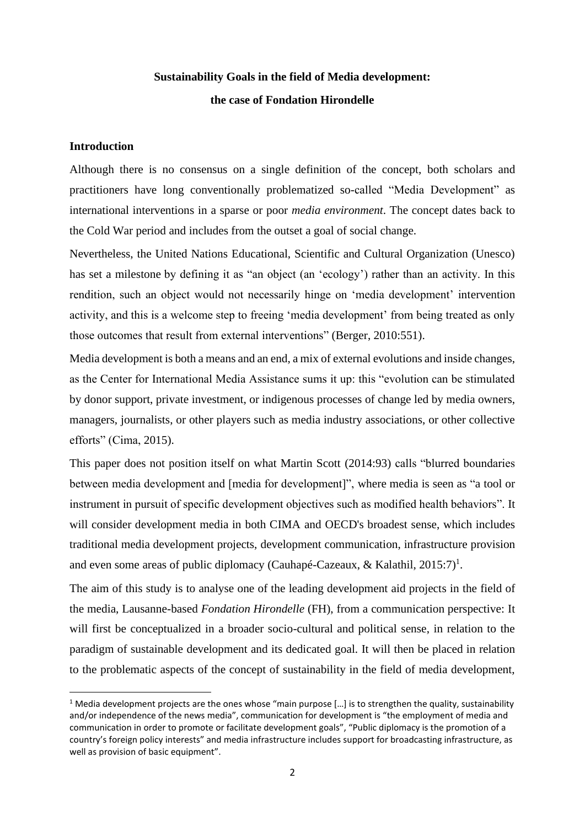# **Sustainability Goals in the field of Media development: the case of Fondation Hirondelle**

# **Introduction**

Although there is no consensus on a single definition of the concept, both scholars and practitioners have long conventionally problematized so-called "Media Development" as international interventions in a sparse or poor *media environment*. The concept dates back to the Cold War period and includes from the outset a goal of social change.

Nevertheless, the United Nations Educational, Scientific and Cultural Organization (Unesco) has set a milestone by defining it as "an object (an 'ecology') rather than an activity. In this rendition, such an object would not necessarily hinge on 'media development' intervention activity, and this is a welcome step to freeing 'media development' from being treated as only those outcomes that result from external interventions" (Berger, 2010:551).

Media development is both a means and an end, a mix of external evolutions and inside changes, as the Center for International Media Assistance sums it up: this "evolution can be stimulated by donor support, private investment, or indigenous processes of change led by media owners, managers, journalists, or other players such as media industry associations, or other collective efforts" (Cima, 2015).

This paper does not position itself on what Martin Scott (2014:93) calls "blurred boundaries between media development and [media for development]", where media is seen as "a tool or instrument in pursuit of specific development objectives such as modified health behaviors". It will consider development media in both CIMA and OECD's broadest sense, which includes traditional media development projects, development communication, infrastructure provision and even some areas of public diplomacy (Cauhapé-Cazeaux, & Kalathil,  $2015:7$ )<sup>1</sup>.

The aim of this study is to analyse one of the leading development aid projects in the field of the media, Lausanne-based *Fondation Hirondelle* (FH), from a communication perspective: It will first be conceptualized in a broader socio-cultural and political sense, in relation to the paradigm of sustainable development and its dedicated goal. It will then be placed in relation to the problematic aspects of the concept of sustainability in the field of media development,

<sup>&</sup>lt;sup>1</sup> Media development projects are the ones whose "main purpose [...] is to strengthen the quality, sustainability and/or independence of the news media", communication for development is "the employment of media and communication in order to promote or facilitate development goals", "Public diplomacy is the promotion of a country's foreign policy interests" and media infrastructure includes support for broadcasting infrastructure, as well as provision of basic equipment".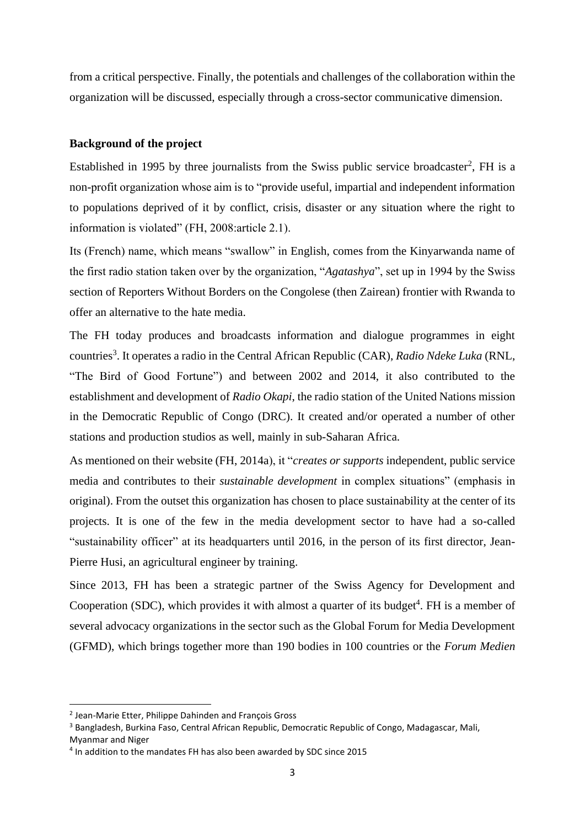from a critical perspective. Finally, the potentials and challenges of the collaboration within the organization will be discussed, especially through a cross-sector communicative dimension.

### **Background of the project**

Established in 1995 by three journalists from the Swiss public service broadcaster<sup>2</sup>, FH is a non-profit organization whose aim is to "provide useful, impartial and independent information to populations deprived of it by conflict, crisis, disaster or any situation where the right to information is violated" (FH, 2008:article 2.1).

Its (French) name, which means "swallow" in English, comes from the Kinyarwanda name of the first radio station taken over by the organization, "*Agatashya*", set up in 1994 by the Swiss section of Reporters Without Borders on the Congolese (then Zairean) frontier with Rwanda to offer an alternative to the hate media.

The FH today produces and broadcasts information and dialogue programmes in eight countries<sup>3</sup>. It operates a radio in the Central African Republic (CAR), *Radio Ndeke Luka* (RNL, "The Bird of Good Fortune") and between 2002 and 2014, it also contributed to the establishment and development of *Radio Okapi*, the radio station of the United Nations mission in the Democratic Republic of Congo (DRC). It created and/or operated a number of other stations and production studios as well, mainly in sub-Saharan Africa.

As mentioned on their website (FH, 2014a), it "*creates or supports* independent, public service media and contributes to their *sustainable development* in complex situations" (emphasis in original). From the outset this organization has chosen to place sustainability at the center of its projects. It is one of the few in the media development sector to have had a so-called "sustainability officer" at its headquarters until 2016, in the person of its first director, Jean-Pierre Husi, an agricultural engineer by training.

Since 2013, FH has been a strategic partner of the Swiss Agency for Development and Cooperation (SDC), which provides it with almost a quarter of its budget<sup>4</sup>. FH is a member of several advocacy organizations in the sector such as the Global Forum for Media Development (GFMD), which brings together more than 190 bodies in 100 countries or the *Forum Medien* 

<sup>2</sup> Jean-Marie Etter, Philippe Dahinden and François Gross

<sup>&</sup>lt;sup>3</sup> Bangladesh, Burkina Faso, Central African Republic, Democratic Republic of Congo, Madagascar, Mali,

Myanmar and Niger

<sup>&</sup>lt;sup>4</sup> In addition to the mandates FH has also been awarded by SDC since 2015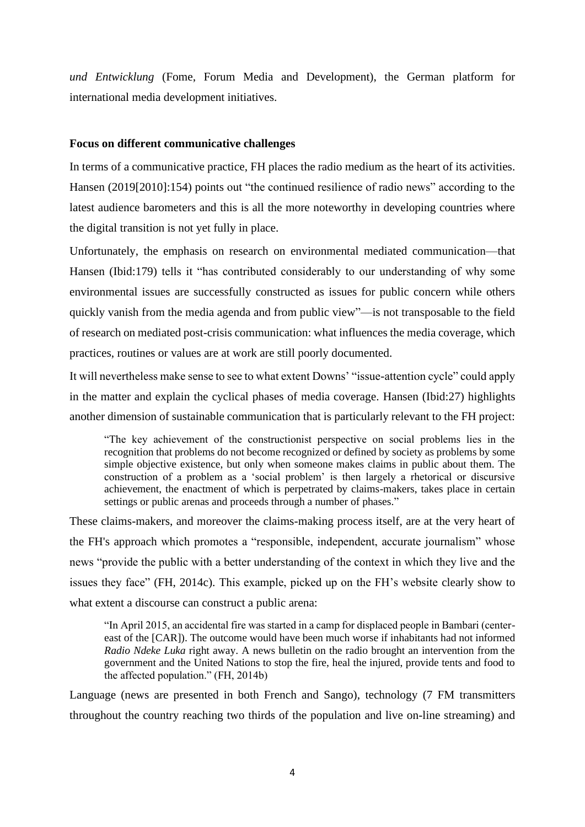*und Entwicklung* (Fome, Forum Media and Development), the German platform for international media development initiatives.

# **Focus on different communicative challenges**

In terms of a communicative practice, FH places the radio medium as the heart of its activities. Hansen (2019[2010]:154) points out "the continued resilience of radio news" according to the latest audience barometers and this is all the more noteworthy in developing countries where the digital transition is not yet fully in place.

Unfortunately, the emphasis on research on environmental mediated communication—that Hansen (Ibid:179) tells it "has contributed considerably to our understanding of why some environmental issues are successfully constructed as issues for public concern while others quickly vanish from the media agenda and from public view"—is not transposable to the field of research on mediated post-crisis communication: what influences the media coverage, which practices, routines or values are at work are still poorly documented.

It will nevertheless make sense to see to what extent Downs' "issue-attention cycle" could apply in the matter and explain the cyclical phases of media coverage. Hansen (Ibid:27) highlights another dimension of sustainable communication that is particularly relevant to the FH project:

"The key achievement of the constructionist perspective on social problems lies in the recognition that problems do not become recognized or defined by society as problems by some simple objective existence, but only when someone makes claims in public about them. The construction of a problem as a 'social problem' is then largely a rhetorical or discursive achievement, the enactment of which is perpetrated by claims-makers, takes place in certain settings or public arenas and proceeds through a number of phases."

These claims-makers, and moreover the claims-making process itself, are at the very heart of the FH's approach which promotes a "responsible, independent, accurate journalism" whose news "provide the public with a better understanding of the context in which they live and the issues they face" (FH, 2014c). This example, picked up on the FH's website clearly show to what extent a discourse can construct a public arena:

"In April 2015, an accidental fire was started in a camp for displaced people in Bambari (centereast of the [CAR]). The outcome would have been much worse if inhabitants had not informed *Radio Ndeke Luka* right away. A news bulletin on the radio brought an intervention from the government and the United Nations to stop the fire, heal the injured, provide tents and food to the affected population." (FH, 2014b)

Language (news are presented in both French and Sango), technology (7 FM transmitters throughout the country reaching two thirds of the population and live on-line streaming) and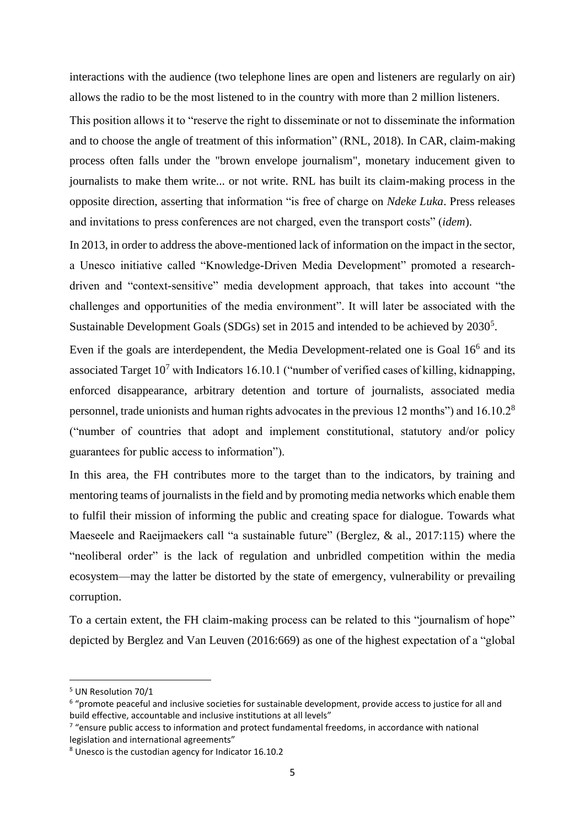interactions with the audience (two telephone lines are open and listeners are regularly on air) allows the radio to be the most listened to in the country with more than 2 million listeners.

This position allows it to "reserve the right to disseminate or not to disseminate the information and to choose the angle of treatment of this information" (RNL, 2018). In CAR, claim-making process often falls under the "brown envelope journalism", monetary inducement given to journalists to make them write... or not write. RNL has built its claim-making process in the opposite direction, asserting that information "is free of charge on *Ndeke Luka*. Press releases and invitations to press conferences are not charged, even the transport costs" (*idem*).

In 2013, in order to address the above-mentioned lack of information on the impact in the sector, a Unesco initiative called "Knowledge-Driven Media Development" promoted a researchdriven and "context-sensitive" media development approach, that takes into account "the challenges and opportunities of the media environment". It will later be associated with the Sustainable Development Goals (SDGs) set in 2015 and intended to be achieved by 2030<sup>5</sup>.

Even if the goals are interdependent, the Media Development-related one is Goal 16<sup>6</sup> and its associated Target  $10<sup>7</sup>$  with Indicators 16.10.1 ("number of verified cases of killing, kidnapping, enforced disappearance, arbitrary detention and torture of journalists, associated media personnel, trade unionists and human rights advocates in the previous 12 months") and 16.10.2<sup>8</sup> ("number of countries that adopt and implement constitutional, statutory and/or policy guarantees for public access to information").

In this area, the FH contributes more to the target than to the indicators, by training and mentoring teams of journalists in the field and by promoting media networks which enable them to fulfil their mission of informing the public and creating space for dialogue. Towards what Maeseele and Raeijmaekers call "a sustainable future" (Berglez, & al., 2017:115) where the "neoliberal order" is the lack of regulation and unbridled competition within the media ecosystem—may the latter be distorted by the state of emergency, vulnerability or prevailing corruption.

To a certain extent, the FH claim-making process can be related to this "journalism of hope" depicted by Berglez and Van Leuven (2016:669) as one of the highest expectation of a "global

<sup>5</sup> UN Resolution 70/1

<sup>&</sup>lt;sup>6</sup> "promote peaceful and inclusive societies for sustainable development, provide access to justice for all and build effective, accountable and inclusive institutions at all levels"

 $7$  "ensure public access to information and protect fundamental freedoms, in accordance with national legislation and international agreements"

<sup>8</sup> Unesco is the custodian agency for Indicator 16.10.2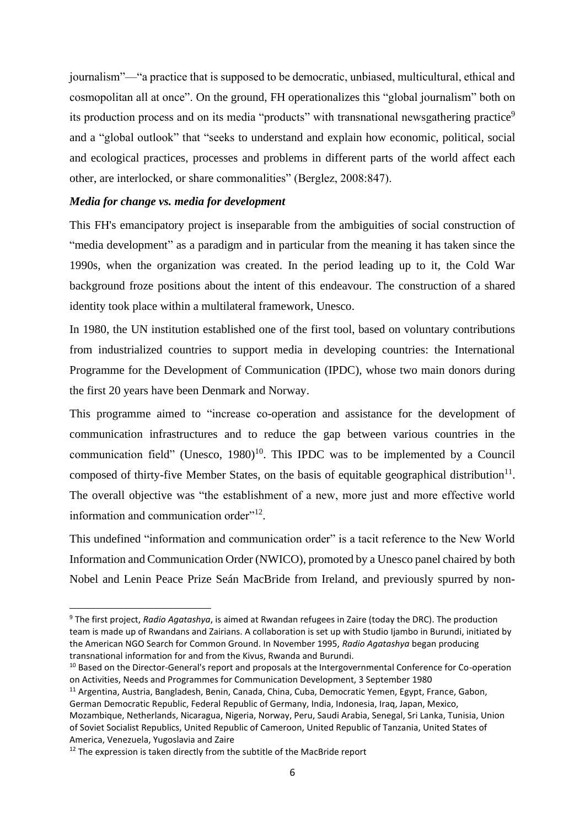journalism"—"a practice that is supposed to be democratic, unbiased, multicultural, ethical and cosmopolitan all at once". On the ground, FH operationalizes this "global journalism" both on its production process and on its media "products" with transnational newsgathering practice<sup>9</sup> and a "global outlook" that "seeks to understand and explain how economic, political, social and ecological practices, processes and problems in different parts of the world affect each other, are interlocked, or share commonalities" (Berglez, 2008:847).

### *Media for change vs. media for development*

This FH's emancipatory project is inseparable from the ambiguities of social construction of "media development" as a paradigm and in particular from the meaning it has taken since the 1990s, when the organization was created. In the period leading up to it, the Cold War background froze positions about the intent of this endeavour. The construction of a shared identity took place within a multilateral framework, Unesco.

In 1980, the UN institution established one of the first tool, based on voluntary contributions from industrialized countries to support media in developing countries: the International Programme for the Development of Communication (IPDC), whose two main donors during the first 20 years have been Denmark and Norway.

This programme aimed to "increase co-operation and assistance for the development of communication infrastructures and to reduce the gap between various countries in the communication field" (Unesco,  $1980$ )<sup>10</sup>. This IPDC was to be implemented by a Council composed of thirty-five Member States, on the basis of equitable geographical distribution $11$ . The overall objective was "the establishment of a new, more just and more effective world information and communication order"<sup>12</sup>.

This undefined "information and communication order" is a tacit reference to the New World Information and Communication Order (NWICO), promoted by a Unesco panel chaired by both Nobel and Lenin Peace Prize Seán MacBride from Ireland, and previously spurred by non-

<sup>9</sup> The first project, *Radio Agatashya*, is aimed at Rwandan refugees in Zaire (today the DRC). The production team is made up of Rwandans and Zairians. A collaboration is set up with Studio Ijambo in Burundi, initiated by the American NGO Search for Common Ground. In November 1995, *Radio Agatashya* began producing transnational information for and from the Kivus, Rwanda and Burundi.

<sup>&</sup>lt;sup>10</sup> Based on the Director-General's report and proposals at the Intergovernmental Conference for Co-operation on Activities, Needs and Programmes for Communication Development, 3 September 1980

<sup>11</sup> Argentina, Austria, Bangladesh, Benin, Canada, China, Cuba, Democratic Yemen, Egypt, France, Gabon, German Democratic Republic, Federal Republic of Germany, India, Indonesia, Iraq, Japan, Mexico, Mozambique, Netherlands, Nicaragua, Nigeria, Norway, Peru, Saudi Arabia, Senegal, Sri Lanka, Tunisia, Union of Soviet Socialist Republics, United Republic of Cameroon, United Republic of Tanzania, United States of America, Venezuela, Yugoslavia and Zaire

 $12$  The expression is taken directly from the subtitle of the MacBride report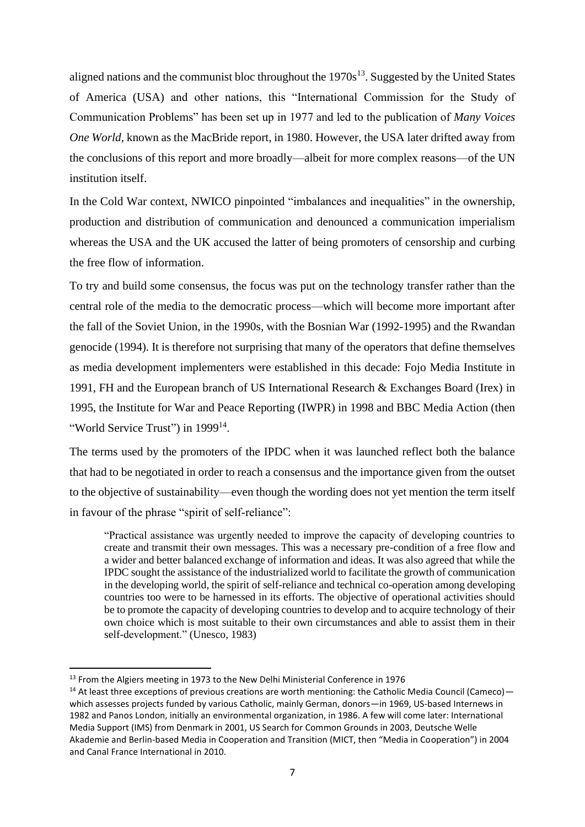aligned nations and the communist bloc throughout the  $1970s<sup>13</sup>$ . Suggested by the United States of America (USA) and other nations, this "International Commission for the Study of Communication Problems" has been set up in 1977 and led to the publication of *Many Voices One World*, known as the MacBride report, in 1980. However, the USA later drifted away from the conclusions of this report and more broadly—albeit for more complex reasons—of the UN institution itself.

In the Cold War context, NWICO pinpointed "imbalances and inequalities" in the ownership, production and distribution of communication and denounced a communication imperialism whereas the USA and the UK accused the latter of being promoters of censorship and curbing the free flow of information.

To try and build some consensus, the focus was put on the technology transfer rather than the central role of the media to the democratic process—which will become more important after the fall of the Soviet Union, in the 1990s, with the Bosnian War (1992-1995) and the Rwandan genocide (1994). It is therefore not surprising that many of the operators that define themselves as media development implementers were established in this decade: Fojo Media Institute in 1991, FH and the European branch of US International Research & Exchanges Board (Irex) in 1995, the Institute for War and Peace Reporting (IWPR) in 1998 and BBC Media Action (then "World Service Trust") in 1999<sup>14</sup>.

The terms used by the promoters of the IPDC when it was launched reflect both the balance that had to be negotiated in order to reach a consensus and the importance given from the outset to the objective of sustainability—even though the wording does not yet mention the term itself in favour of the phrase "spirit of self-reliance":

"Practical assistance was urgently needed to improve the capacity of developing countries to create and transmit their own messages. This was a necessary pre-condition of a free flow and a wider and better balanced exchange of information and ideas. It was also agreed that while the IPDC sought the assistance of the industrialized world to facilitate the growth of communication in the developing world, the spirit of self-reliance and technical co-operation among developing countries too were to be harnessed in its efforts. The objective of operational activities should be to promote the capacity of developing countries to develop and to acquire technology of their own choice which is most suitable to their own circumstances and able to assist them in their self-development." (Unesco, 1983)

<sup>&</sup>lt;sup>13</sup> From the Algiers meeting in 1973 to the New Delhi Ministerial Conference in 1976

<sup>&</sup>lt;sup>14</sup> At least three exceptions of previous creations are worth mentioning: the Catholic Media Council (Cameco) which assesses projects funded by various Catholic, mainly German, donors—in 1969, US-based Internews in 1982 and Panos London, initially an environmental organization, in 1986. A few will come later: International Media Support (IMS) from Denmark in 2001, US Search for Common Grounds in 2003, Deutsche Welle Akademie and Berlin-based Media in Cooperation and Transition (MICT, then "Media in Cooperation") in 2004 and Canal France International in 2010.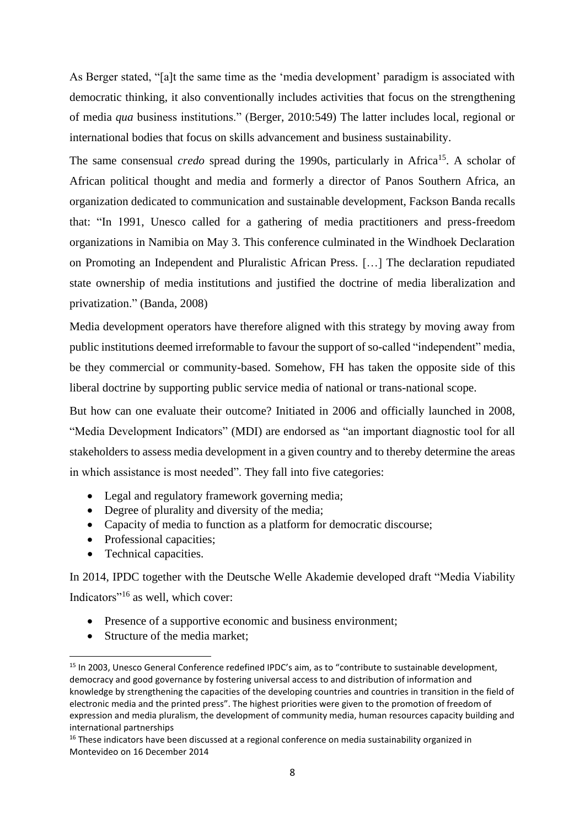As Berger stated, "[a]t the same time as the 'media development' paradigm is associated with democratic thinking, it also conventionally includes activities that focus on the strengthening of media *qua* business institutions." (Berger, 2010:549) The latter includes local, regional or international bodies that focus on skills advancement and business sustainability.

The same consensual *credo* spread during the 1990s, particularly in Africa<sup>15</sup>. A scholar of African political thought and media and formerly a director of Panos Southern Africa, an organization dedicated to communication and sustainable development, Fackson Banda recalls that: "In 1991, Unesco called for a gathering of media practitioners and press-freedom organizations in Namibia on May 3. This conference culminated in the Windhoek Declaration on Promoting an Independent and Pluralistic African Press. […] The declaration repudiated state ownership of media institutions and justified the doctrine of media liberalization and privatization." (Banda, 2008)

Media development operators have therefore aligned with this strategy by moving away from public institutions deemed irreformable to favour the support of so-called "independent" media, be they commercial or community-based. Somehow, FH has taken the opposite side of this liberal doctrine by supporting public service media of national or trans-national scope.

But how can one evaluate their outcome? Initiated in 2006 and officially launched in 2008, "Media Development Indicators" (MDI) are endorsed as "an important diagnostic tool for all stakeholders to assess media development in a given country and to thereby determine the areas in which assistance is most needed". They fall into five categories:

- Legal and regulatory framework governing media;
- Degree of plurality and diversity of the media;
- Capacity of media to function as a platform for democratic discourse;
- Professional capacities;
- Technical capacities.

In 2014, IPDC together with the Deutsche Welle Akademie developed draft "Media Viability Indicators"<sup>16</sup> as well, which cover:

- Presence of a supportive economic and business environment;
- Structure of the media market;

<sup>15</sup> In 2003, Unesco General Conference redefined IPDC's aim, as to "contribute to sustainable development, democracy and good governance by fostering universal access to and distribution of information and knowledge by strengthening the capacities of the developing countries and countries in transition in the field of electronic media and the printed press". The highest priorities were given to the promotion of freedom of expression and media pluralism, the development of community media, human resources capacity building and international partnerships

<sup>&</sup>lt;sup>16</sup> These indicators have been discussed at a regional conference on media sustainability organized in Montevideo on 16 December 2014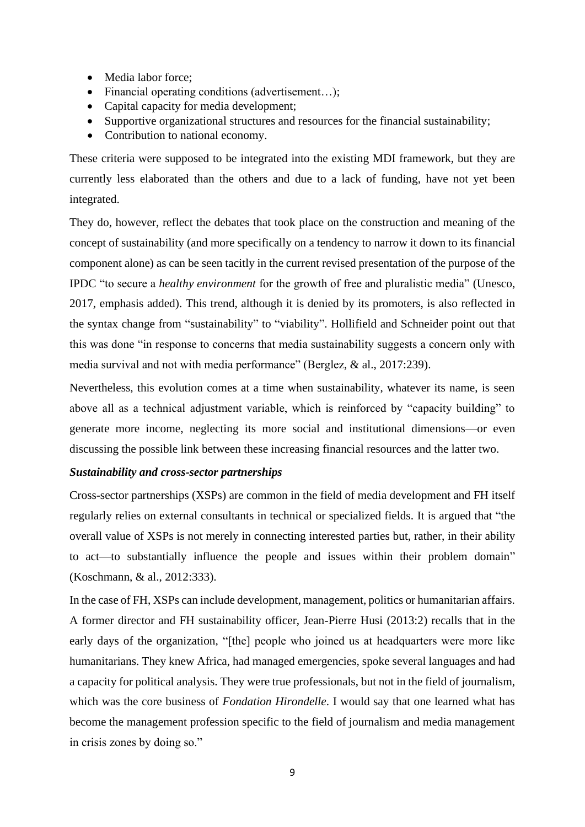- Media labor force:
- Financial operating conditions (advertisement...);
- Capital capacity for media development;
- Supportive organizational structures and resources for the financial sustainability;
- Contribution to national economy.

These criteria were supposed to be integrated into the existing MDI framework, but they are currently less elaborated than the others and due to a lack of funding, have not yet been integrated.

They do, however, reflect the debates that took place on the construction and meaning of the concept of sustainability (and more specifically on a tendency to narrow it down to its financial component alone) as can be seen tacitly in the current revised presentation of the purpose of the IPDC "to secure a *healthy environment* for the growth of free and pluralistic media" (Unesco, 2017, emphasis added). This trend, although it is denied by its promoters, is also reflected in the syntax change from "sustainability" to "viability". Hollifield and Schneider point out that this was done "in response to concerns that media sustainability suggests a concern only with media survival and not with media performance" (Berglez, & al., 2017:239).

Nevertheless, this evolution comes at a time when sustainability, whatever its name, is seen above all as a technical adjustment variable, which is reinforced by "capacity building" to generate more income, neglecting its more social and institutional dimensions—or even discussing the possible link between these increasing financial resources and the latter two.

# *Sustainability and cross-sector partnerships*

Cross-sector partnerships (XSPs) are common in the field of media development and FH itself regularly relies on external consultants in technical or specialized fields. It is argued that "the overall value of XSPs is not merely in connecting interested parties but, rather, in their ability to act—to substantially influence the people and issues within their problem domain" (Koschmann, & al., 2012:333).

In the case of FH, XSPs can include development, management, politics or humanitarian affairs. A former director and FH sustainability officer, Jean-Pierre Husi (2013:2) recalls that in the early days of the organization, "[the] people who joined us at headquarters were more like humanitarians. They knew Africa, had managed emergencies, spoke several languages and had a capacity for political analysis. They were true professionals, but not in the field of journalism, which was the core business of *Fondation Hirondelle*. I would say that one learned what has become the management profession specific to the field of journalism and media management in crisis zones by doing so."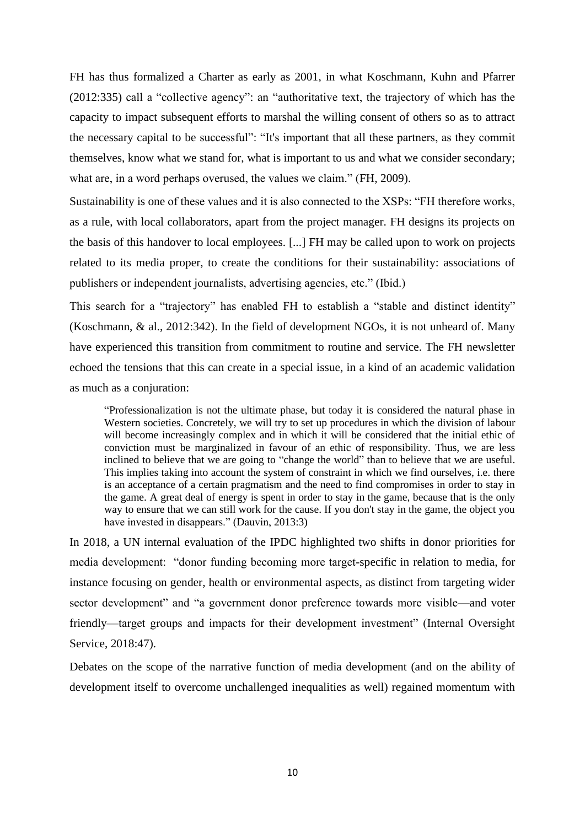FH has thus formalized a Charter as early as 2001, in what Koschmann, Kuhn and Pfarrer (2012:335) call a "collective agency": an "authoritative text, the trajectory of which has the capacity to impact subsequent efforts to marshal the willing consent of others so as to attract the necessary capital to be successful": "It's important that all these partners, as they commit themselves, know what we stand for, what is important to us and what we consider secondary; what are, in a word perhaps overused, the values we claim." (FH, 2009).

Sustainability is one of these values and it is also connected to the XSPs: "FH therefore works, as a rule, with local collaborators, apart from the project manager. FH designs its projects on the basis of this handover to local employees. [...] FH may be called upon to work on projects related to its media proper, to create the conditions for their sustainability: associations of publishers or independent journalists, advertising agencies, etc." (Ibid.)

This search for a "trajectory" has enabled FH to establish a "stable and distinct identity" (Koschmann, & al., 2012:342). In the field of development NGOs, it is not unheard of. Many have experienced this transition from commitment to routine and service. The FH newsletter echoed the tensions that this can create in a special issue, in a kind of an academic validation as much as a conjuration:

"Professionalization is not the ultimate phase, but today it is considered the natural phase in Western societies. Concretely, we will try to set up procedures in which the division of labour will become increasingly complex and in which it will be considered that the initial ethic of conviction must be marginalized in favour of an ethic of responsibility. Thus, we are less inclined to believe that we are going to "change the world" than to believe that we are useful. This implies taking into account the system of constraint in which we find ourselves, i.e. there is an acceptance of a certain pragmatism and the need to find compromises in order to stay in the game. A great deal of energy is spent in order to stay in the game, because that is the only way to ensure that we can still work for the cause. If you don't stay in the game, the object you have invested in disappears." (Dauvin, 2013:3)

In 2018, a UN internal evaluation of the IPDC highlighted two shifts in donor priorities for media development: "donor funding becoming more target-specific in relation to media, for instance focusing on gender, health or environmental aspects, as distinct from targeting wider sector development" and "a government donor preference towards more visible—and voter friendly—target groups and impacts for their development investment" (Internal Oversight Service, 2018:47).

Debates on the scope of the narrative function of media development (and on the ability of development itself to overcome unchallenged inequalities as well) regained momentum with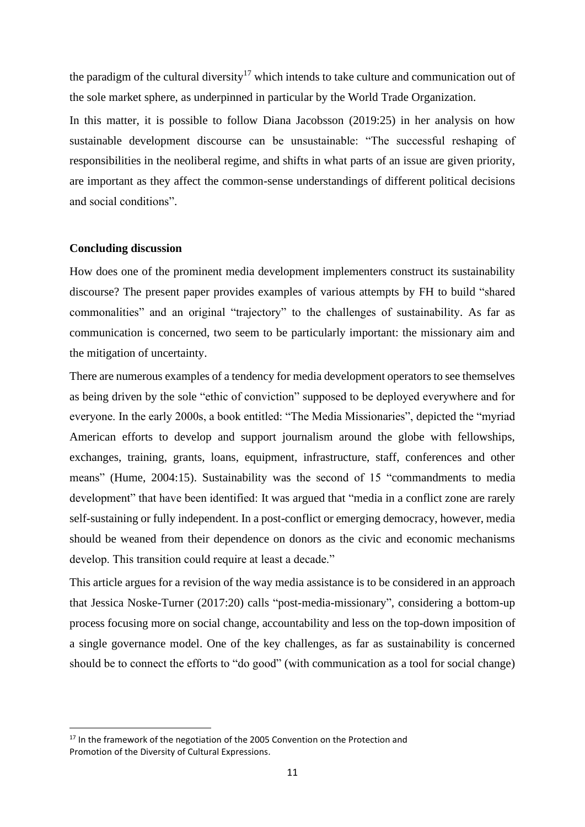the paradigm of the cultural diversity<sup>17</sup> which intends to take culture and communication out of the sole market sphere, as underpinned in particular by the World Trade Organization.

In this matter, it is possible to follow Diana Jacobsson (2019:25) in her analysis on how sustainable development discourse can be unsustainable: "The successful reshaping of responsibilities in the neoliberal regime, and shifts in what parts of an issue are given priority, are important as they affect the common-sense understandings of different political decisions and social conditions".

#### **Concluding discussion**

How does one of the prominent media development implementers construct its sustainability discourse? The present paper provides examples of various attempts by FH to build "shared commonalities" and an original "trajectory" to the challenges of sustainability. As far as communication is concerned, two seem to be particularly important: the missionary aim and the mitigation of uncertainty.

There are numerous examples of a tendency for media development operators to see themselves as being driven by the sole "ethic of conviction" supposed to be deployed everywhere and for everyone. In the early 2000s, a book entitled: "The Media Missionaries", depicted the "myriad American efforts to develop and support journalism around the globe with fellowships, exchanges, training, grants, loans, equipment, infrastructure, staff, conferences and other means" (Hume, 2004:15). Sustainability was the second of 15 "commandments to media development" that have been identified: It was argued that "media in a conflict zone are rarely self-sustaining or fully independent. In a post-conflict or emerging democracy, however, media should be weaned from their dependence on donors as the civic and economic mechanisms develop. This transition could require at least a decade."

This article argues for a revision of the way media assistance is to be considered in an approach that Jessica Noske-Turner (2017:20) calls "post-media-missionary", considering a bottom-up process focusing more on social change, accountability and less on the top-down imposition of a single governance model. One of the key challenges, as far as sustainability is concerned should be to connect the efforts to "do good" (with communication as a tool for social change)

 $17$  In the framework of the negotiation of the 2005 Convention on the Protection and Promotion of the Diversity of Cultural Expressions.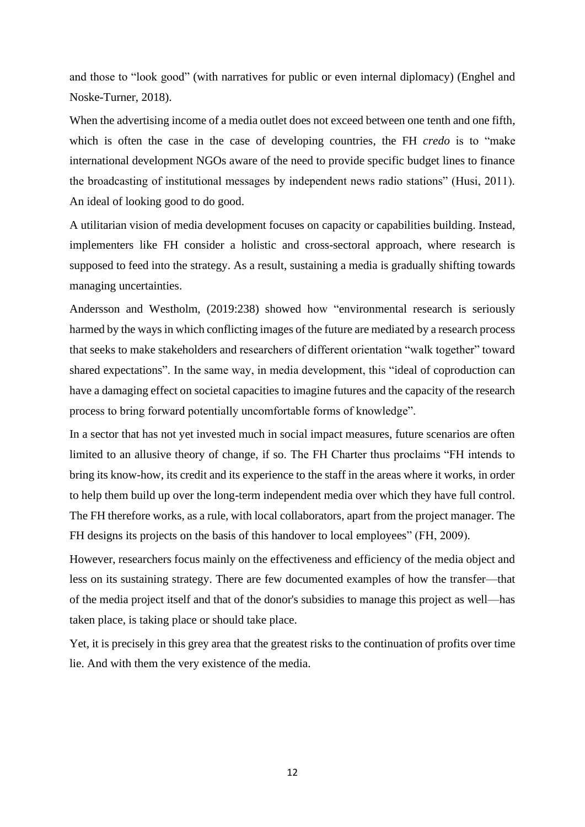and those to "look good" (with narratives for public or even internal diplomacy) (Enghel and Noske-Turner, 2018).

When the advertising income of a media outlet does not exceed between one tenth and one fifth, which is often the case in the case of developing countries, the FH *credo* is to "make international development NGOs aware of the need to provide specific budget lines to finance the broadcasting of institutional messages by independent news radio stations" (Husi, 2011). An ideal of looking good to do good.

A utilitarian vision of media development focuses on capacity or capabilities building. Instead, implementers like FH consider a holistic and cross-sectoral approach, where research is supposed to feed into the strategy. As a result, sustaining a media is gradually shifting towards managing uncertainties.

Andersson and Westholm, (2019:238) showed how "environmental research is seriously harmed by the ways in which conflicting images of the future are mediated by a research process that seeks to make stakeholders and researchers of different orientation "walk together" toward shared expectations". In the same way, in media development, this "ideal of coproduction can have a damaging effect on societal capacities to imagine futures and the capacity of the research process to bring forward potentially uncomfortable forms of knowledge".

In a sector that has not yet invested much in social impact measures, future scenarios are often limited to an allusive theory of change, if so. The FH Charter thus proclaims "FH intends to bring its know-how, its credit and its experience to the staff in the areas where it works, in order to help them build up over the long-term independent media over which they have full control. The FH therefore works, as a rule, with local collaborators, apart from the project manager. The FH designs its projects on the basis of this handover to local employees" (FH, 2009).

However, researchers focus mainly on the effectiveness and efficiency of the media object and less on its sustaining strategy. There are few documented examples of how the transfer—that of the media project itself and that of the donor's subsidies to manage this project as well—has taken place, is taking place or should take place.

Yet, it is precisely in this grey area that the greatest risks to the continuation of profits over time lie. And with them the very existence of the media.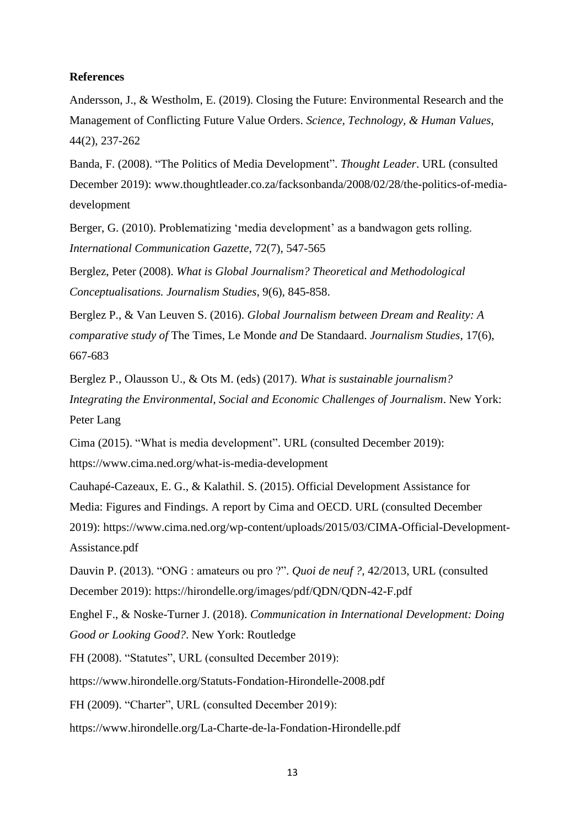#### **References**

Andersson, J., & Westholm, E. (2019). Closing the Future: Environmental Research and the Management of Conflicting Future Value Orders. *Science, Technology, & Human Values*, 44(2), 237-262

Banda, F. (2008). "The Politics of Media Development". *Thought Leader*. URL (consulted December 2019): www.thoughtleader.co.za/facksonbanda/2008/02/28/the-politics-of-mediadevelopment

Berger, G. (2010). Problematizing 'media development' as a bandwagon gets rolling. *International Communication Gazette*, 72(7), 547-565

Berglez, Peter (2008). *What is Global Journalism? Theoretical and Methodological Conceptualisations. Journalism Studies*, 9(6), 845-858.

Berglez P., & Van Leuven S. (2016). *Global Journalism between Dream and Reality: A comparative study of* The Times, Le Monde *and* De Standaard. *Journalism Studies*, 17(6), 667-683

Berglez P., Olausson U., & Ots M. (eds) (2017). *What is sustainable journalism? Integrating the Environmental, Social and Economic Challenges of Journalism*. New York: Peter Lang

Cima (2015). "What is media development". URL (consulted December 2019): https://www.cima.ned.org/what-is-media-development

Cauhapé-Cazeaux, E. G., & Kalathil. S. (2015). Official Development Assistance for Media: Figures and Findings. A report by Cima and OECD. URL (consulted December 2019): https://www.cima.ned.org/wp-content/uploads/2015/03/CIMA-Official-Development-Assistance.pdf

Dauvin P. (2013). "ONG : amateurs ou pro ?". *Quoi de neuf ?*, 42/2013, URL (consulted December 2019): https://hirondelle.org/images/pdf/QDN/QDN-42-F.pdf

Enghel F., & Noske-Turner J. (2018). *Communication in International Development: Doing Good or Looking Good?*. New York: Routledge

FH (2008). "Statutes", URL (consulted December 2019):

https://www.hirondelle.org/Statuts-Fondation-Hirondelle-2008.pdf

FH (2009). "Charter", URL (consulted December 2019):

https://www.hirondelle.org/La-Charte-de-la-Fondation-Hirondelle.pdf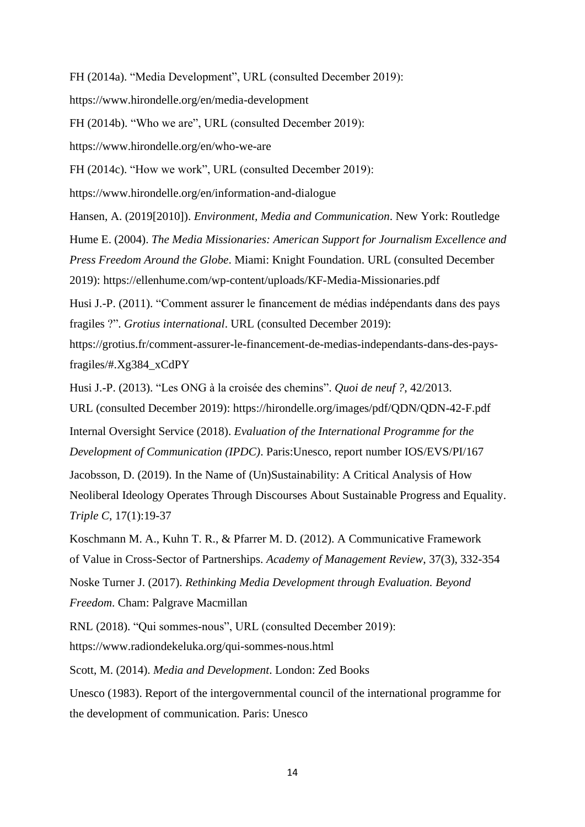FH (2014a). "Media Development", URL (consulted December 2019):

https://www.hirondelle.org/en/media-development

FH (2014b). "Who we are", URL (consulted December 2019):

https://www.hirondelle.org/en/who-we-are

FH (2014c). "How we work", URL (consulted December 2019):

https://www.hirondelle.org/en/information-and-dialogue

Hansen, A. (2019[2010]). *Environment, Media and Communication*. New York: Routledge

Hume E. (2004). *The Media Missionaries: American Support for Journalism Excellence and Press Freedom Around the Globe*. Miami: Knight Foundation. URL (consulted December 2019): https://ellenhume.com/wp-content/uploads/KF-Media-Missionaries.pdf

Husi J.-P. (2011). "Comment assurer le financement de médias indépendants dans des pays fragiles ?". *Grotius international*. URL (consulted December 2019):

https://grotius.fr/comment-assurer-le-financement-de-medias-independants-dans-des-paysfragiles/#.Xg384\_xCdPY

Husi J.-P. (2013). "Les ONG à la croisée des chemins". *Quoi de neuf ?*, 42/2013.

URL (consulted December 2019): https://hirondelle.org/images/pdf/QDN/QDN-42-F.pdf Internal Oversight Service (2018). *Evaluation of the International Programme for the Development of Communication (IPDC)*. Paris:Unesco, report number IOS/EVS/PI/167 Jacobsson, D. (2019). In the Name of (Un)Sustainability: A Critical Analysis of How Neoliberal Ideology Operates Through Discourses About Sustainable Progress and Equality.

*Triple C,* 17(1):19-37

Koschmann M. A., Kuhn T. R., & Pfarrer M. D. (2012). A Communicative Framework of Value in Cross-Sector of Partnerships. *Academy of Management Review*, 37(3), 332-354

Noske Turner J. (2017). *Rethinking Media Development through Evaluation. Beyond Freedom*. Cham: Palgrave Macmillan

RNL (2018). "Qui sommes-nous", URL (consulted December 2019): https://www.radiondekeluka.org/qui-sommes-nous.html

Scott, M. (2014). *Media and Development*. London: Zed Books

Unesco (1983). Report of the intergovernmental council of the international programme for the development of communication. Paris: Unesco